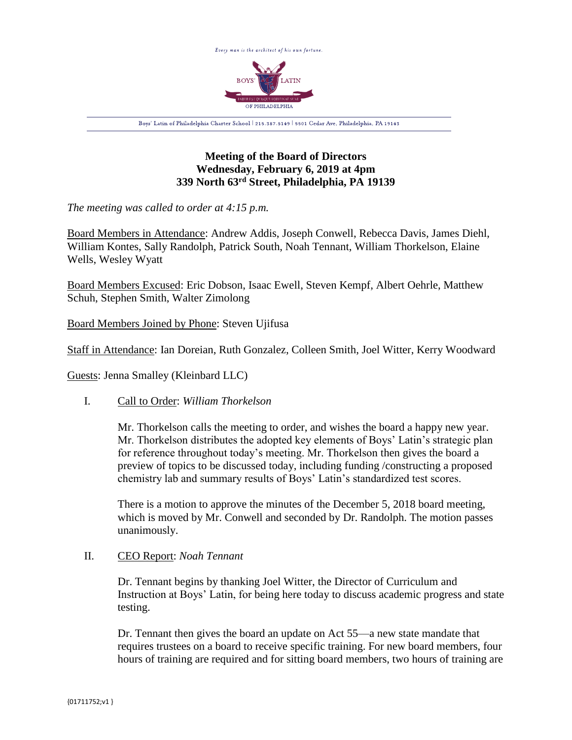

# **Meeting of the Board of Directors Wednesday, February 6, 2019 at 4pm 339 North 63rd Street, Philadelphia, PA 19139**

*The meeting was called to order at 4:15 p.m.*

Board Members in Attendance: Andrew Addis, Joseph Conwell, Rebecca Davis, James Diehl, William Kontes, Sally Randolph, Patrick South, Noah Tennant, William Thorkelson, Elaine Wells, Wesley Wyatt

Board Members Excused: Eric Dobson, Isaac Ewell, Steven Kempf, Albert Oehrle, Matthew Schuh, Stephen Smith, Walter Zimolong

Board Members Joined by Phone: Steven Ujifusa

Staff in Attendance: Ian Doreian, Ruth Gonzalez, Colleen Smith, Joel Witter, Kerry Woodward

Guests: Jenna Smalley (Kleinbard LLC)

# I. Call to Order: *William Thorkelson*

Mr. Thorkelson calls the meeting to order, and wishes the board a happy new year. Mr. Thorkelson distributes the adopted key elements of Boys' Latin's strategic plan for reference throughout today's meeting. Mr. Thorkelson then gives the board a preview of topics to be discussed today, including funding /constructing a proposed chemistry lab and summary results of Boys' Latin's standardized test scores.

There is a motion to approve the minutes of the December 5, 2018 board meeting, which is moved by Mr. Conwell and seconded by Dr. Randolph. The motion passes unanimously.

# II. CEO Report: *Noah Tennant*

Dr. Tennant begins by thanking Joel Witter, the Director of Curriculum and Instruction at Boys' Latin, for being here today to discuss academic progress and state testing.

Dr. Tennant then gives the board an update on Act 55—a new state mandate that requires trustees on a board to receive specific training. For new board members, four hours of training are required and for sitting board members, two hours of training are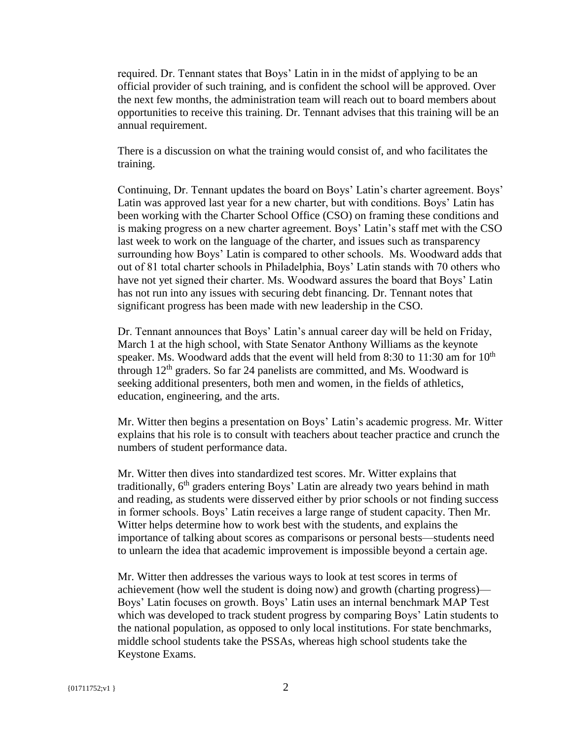required. Dr. Tennant states that Boys' Latin in in the midst of applying to be an official provider of such training, and is confident the school will be approved. Over the next few months, the administration team will reach out to board members about opportunities to receive this training. Dr. Tennant advises that this training will be an annual requirement.

There is a discussion on what the training would consist of, and who facilitates the training.

Continuing, Dr. Tennant updates the board on Boys' Latin's charter agreement. Boys' Latin was approved last year for a new charter, but with conditions. Boys' Latin has been working with the Charter School Office (CSO) on framing these conditions and is making progress on a new charter agreement. Boys' Latin's staff met with the CSO last week to work on the language of the charter, and issues such as transparency surrounding how Boys' Latin is compared to other schools. Ms. Woodward adds that out of 81 total charter schools in Philadelphia, Boys' Latin stands with 70 others who have not yet signed their charter. Ms. Woodward assures the board that Boys' Latin has not run into any issues with securing debt financing. Dr. Tennant notes that significant progress has been made with new leadership in the CSO.

Dr. Tennant announces that Boys' Latin's annual career day will be held on Friday, March 1 at the high school, with State Senator Anthony Williams as the keynote speaker. Ms. Woodward adds that the event will held from 8:30 to 11:30 am for  $10<sup>th</sup>$ through  $12<sup>th</sup>$  graders. So far 24 panelists are committed, and Ms. Woodward is seeking additional presenters, both men and women, in the fields of athletics, education, engineering, and the arts.

Mr. Witter then begins a presentation on Boys' Latin's academic progress. Mr. Witter explains that his role is to consult with teachers about teacher practice and crunch the numbers of student performance data.

Mr. Witter then dives into standardized test scores. Mr. Witter explains that traditionally,  $6<sup>th</sup>$  graders entering Boys' Latin are already two years behind in math and reading, as students were disserved either by prior schools or not finding success in former schools. Boys' Latin receives a large range of student capacity. Then Mr. Witter helps determine how to work best with the students, and explains the importance of talking about scores as comparisons or personal bests—students need to unlearn the idea that academic improvement is impossible beyond a certain age.

Mr. Witter then addresses the various ways to look at test scores in terms of achievement (how well the student is doing now) and growth (charting progress)— Boys' Latin focuses on growth. Boys' Latin uses an internal benchmark MAP Test which was developed to track student progress by comparing Boys' Latin students to the national population, as opposed to only local institutions. For state benchmarks, middle school students take the PSSAs, whereas high school students take the Keystone Exams.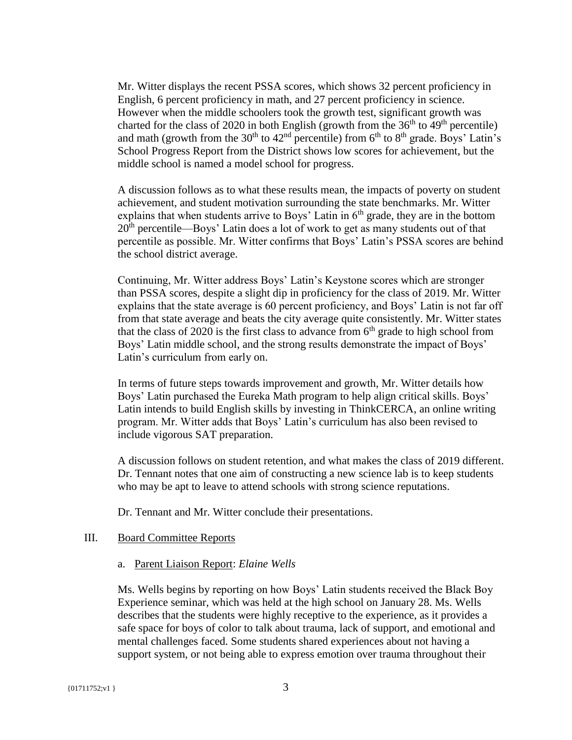Mr. Witter displays the recent PSSA scores, which shows 32 percent proficiency in English, 6 percent proficiency in math, and 27 percent proficiency in science. However when the middle schoolers took the growth test, significant growth was charted for the class of 2020 in both English (growth from the  $36<sup>th</sup>$  to  $49<sup>th</sup>$  percentile) and math (growth from the  $30<sup>th</sup>$  to  $42<sup>nd</sup>$  percentile) from  $6<sup>th</sup>$  to  $8<sup>th</sup>$  grade. Boys' Latin's School Progress Report from the District shows low scores for achievement, but the middle school is named a model school for progress.

A discussion follows as to what these results mean, the impacts of poverty on student achievement, and student motivation surrounding the state benchmarks. Mr. Witter explains that when students arrive to Boys' Latin in  $6<sup>th</sup>$  grade, they are in the bottom  $20<sup>th</sup>$  percentile—Boys' Latin does a lot of work to get as many students out of that percentile as possible. Mr. Witter confirms that Boys' Latin's PSSA scores are behind the school district average.

Continuing, Mr. Witter address Boys' Latin's Keystone scores which are stronger than PSSA scores, despite a slight dip in proficiency for the class of 2019. Mr. Witter explains that the state average is 60 percent proficiency, and Boys' Latin is not far off from that state average and beats the city average quite consistently. Mr. Witter states that the class of 2020 is the first class to advance from  $6<sup>th</sup>$  grade to high school from Boys' Latin middle school, and the strong results demonstrate the impact of Boys' Latin's curriculum from early on.

In terms of future steps towards improvement and growth, Mr. Witter details how Boys' Latin purchased the Eureka Math program to help align critical skills. Boys' Latin intends to build English skills by investing in ThinkCERCA, an online writing program. Mr. Witter adds that Boys' Latin's curriculum has also been revised to include vigorous SAT preparation.

A discussion follows on student retention, and what makes the class of 2019 different. Dr. Tennant notes that one aim of constructing a new science lab is to keep students who may be apt to leave to attend schools with strong science reputations.

Dr. Tennant and Mr. Witter conclude their presentations.

## III. Board Committee Reports

a. Parent Liaison Report: *Elaine Wells*

Ms. Wells begins by reporting on how Boys' Latin students received the Black Boy Experience seminar, which was held at the high school on January 28. Ms. Wells describes that the students were highly receptive to the experience, as it provides a safe space for boys of color to talk about trauma, lack of support, and emotional and mental challenges faced. Some students shared experiences about not having a support system, or not being able to express emotion over trauma throughout their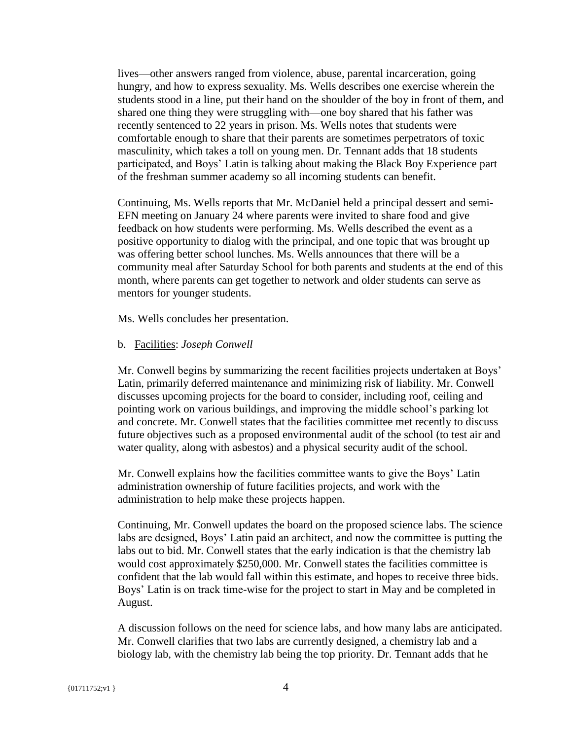lives—other answers ranged from violence, abuse, parental incarceration, going hungry, and how to express sexuality. Ms. Wells describes one exercise wherein the students stood in a line, put their hand on the shoulder of the boy in front of them, and shared one thing they were struggling with—one boy shared that his father was recently sentenced to 22 years in prison. Ms. Wells notes that students were comfortable enough to share that their parents are sometimes perpetrators of toxic masculinity, which takes a toll on young men. Dr. Tennant adds that 18 students participated, and Boys' Latin is talking about making the Black Boy Experience part of the freshman summer academy so all incoming students can benefit.

Continuing, Ms. Wells reports that Mr. McDaniel held a principal dessert and semi-EFN meeting on January 24 where parents were invited to share food and give feedback on how students were performing. Ms. Wells described the event as a positive opportunity to dialog with the principal, and one topic that was brought up was offering better school lunches. Ms. Wells announces that there will be a community meal after Saturday School for both parents and students at the end of this month, where parents can get together to network and older students can serve as mentors for younger students.

Ms. Wells concludes her presentation.

## b. Facilities: *Joseph Conwell*

Mr. Conwell begins by summarizing the recent facilities projects undertaken at Boys' Latin, primarily deferred maintenance and minimizing risk of liability. Mr. Conwell discusses upcoming projects for the board to consider, including roof, ceiling and pointing work on various buildings, and improving the middle school's parking lot and concrete. Mr. Conwell states that the facilities committee met recently to discuss future objectives such as a proposed environmental audit of the school (to test air and water quality, along with asbestos) and a physical security audit of the school.

Mr. Conwell explains how the facilities committee wants to give the Boys' Latin administration ownership of future facilities projects, and work with the administration to help make these projects happen.

Continuing, Mr. Conwell updates the board on the proposed science labs. The science labs are designed, Boys' Latin paid an architect, and now the committee is putting the labs out to bid. Mr. Conwell states that the early indication is that the chemistry lab would cost approximately \$250,000. Mr. Conwell states the facilities committee is confident that the lab would fall within this estimate, and hopes to receive three bids. Boys' Latin is on track time-wise for the project to start in May and be completed in August.

A discussion follows on the need for science labs, and how many labs are anticipated. Mr. Conwell clarifies that two labs are currently designed, a chemistry lab and a biology lab, with the chemistry lab being the top priority. Dr. Tennant adds that he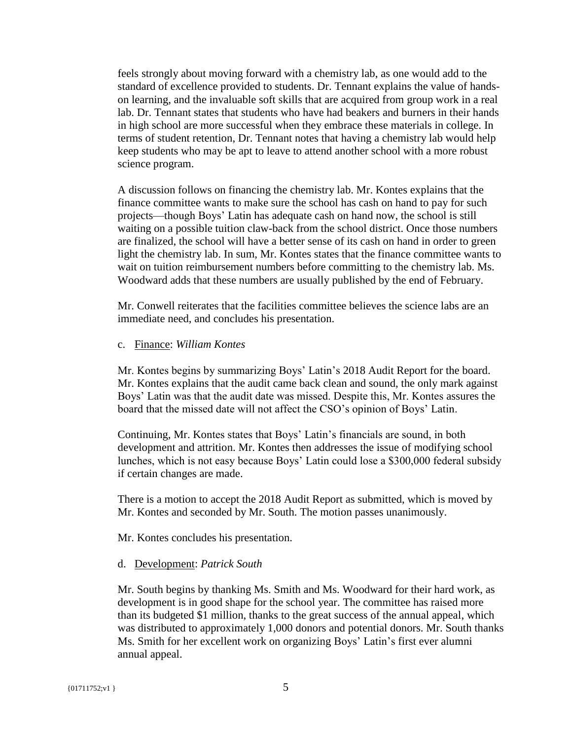feels strongly about moving forward with a chemistry lab, as one would add to the standard of excellence provided to students. Dr. Tennant explains the value of handson learning, and the invaluable soft skills that are acquired from group work in a real lab. Dr. Tennant states that students who have had beakers and burners in their hands in high school are more successful when they embrace these materials in college. In terms of student retention, Dr. Tennant notes that having a chemistry lab would help keep students who may be apt to leave to attend another school with a more robust science program.

A discussion follows on financing the chemistry lab. Mr. Kontes explains that the finance committee wants to make sure the school has cash on hand to pay for such projects—though Boys' Latin has adequate cash on hand now, the school is still waiting on a possible tuition claw-back from the school district. Once those numbers are finalized, the school will have a better sense of its cash on hand in order to green light the chemistry lab. In sum, Mr. Kontes states that the finance committee wants to wait on tuition reimbursement numbers before committing to the chemistry lab. Ms. Woodward adds that these numbers are usually published by the end of February.

Mr. Conwell reiterates that the facilities committee believes the science labs are an immediate need, and concludes his presentation.

## c. Finance: *William Kontes*

Mr. Kontes begins by summarizing Boys' Latin's 2018 Audit Report for the board. Mr. Kontes explains that the audit came back clean and sound, the only mark against Boys' Latin was that the audit date was missed. Despite this, Mr. Kontes assures the board that the missed date will not affect the CSO's opinion of Boys' Latin.

Continuing, Mr. Kontes states that Boys' Latin's financials are sound, in both development and attrition. Mr. Kontes then addresses the issue of modifying school lunches, which is not easy because Boys' Latin could lose a \$300,000 federal subsidy if certain changes are made.

There is a motion to accept the 2018 Audit Report as submitted, which is moved by Mr. Kontes and seconded by Mr. South. The motion passes unanimously.

Mr. Kontes concludes his presentation.

## d. Development: *Patrick South*

Mr. South begins by thanking Ms. Smith and Ms. Woodward for their hard work, as development is in good shape for the school year. The committee has raised more than its budgeted \$1 million, thanks to the great success of the annual appeal, which was distributed to approximately 1,000 donors and potential donors. Mr. South thanks Ms. Smith for her excellent work on organizing Boys' Latin's first ever alumni annual appeal.